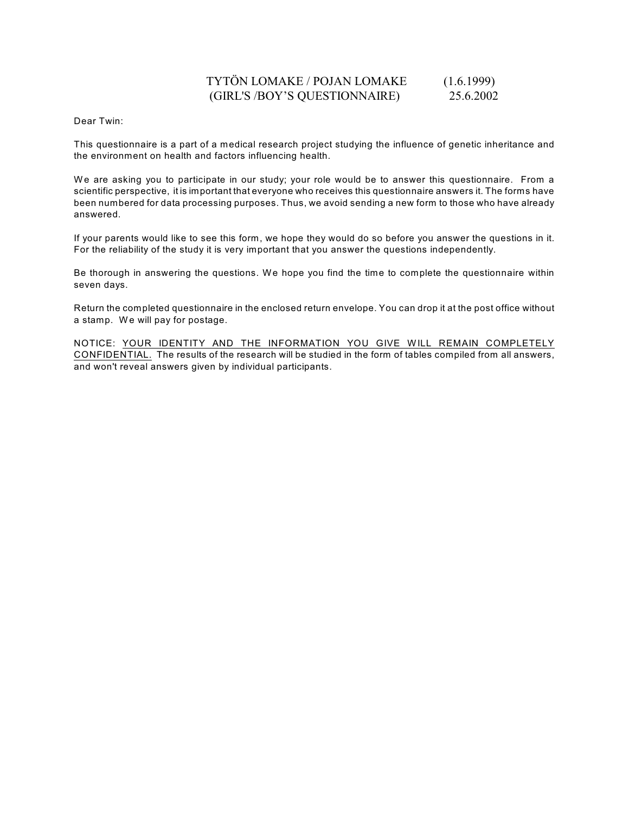# TYTÖN LOMAKE / POJAN LOMAKE (1.6.1999) (GIRL'S /BOY'S QUESTIONNAIRE) 25.6.2002

Dear Twin:

This questionnaire is a part of a medical research project studying the influence of genetic inheritance and the environment on health and factors influencing health.

We are asking you to participate in our study; your role would be to answer this questionnaire. From a scientific perspective, it is important that everyone who receives this questionnaire answers it. The forms have been numbered for data processing purposes. Thus, we avoid sending a new form to those who have already answered.

If your parents would like to see this form, we hope they would do so before you answer the questions in it. For the reliability of the study it is very important that you answer the questions independently.

Be thorough in answering the questions. We hope you find the time to complete the questionnaire within seven days.

Return the completed questionnaire in the enclosed return envelope. You can drop it at the post office without a stamp. We will pay for postage.

NOTICE: YOUR IDENTITY AND THE INFORMATION YOU GIVE W ILL REMAIN COMPLETELY CONFIDENTIAL. The results of the research will be studied in the form of tables compiled from all answers, and won't reveal answers given by individual participants.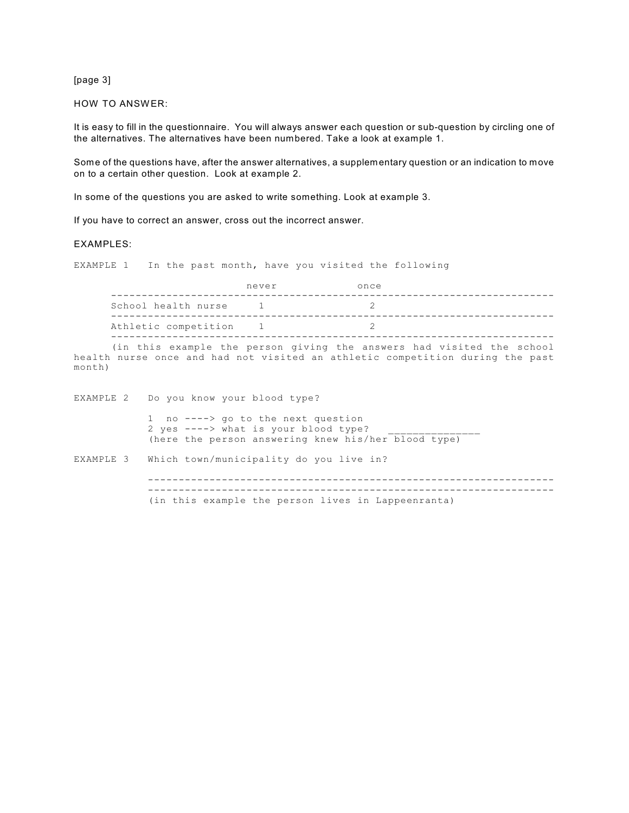[page 3]

HOW TO ANSWER:

It is easy to fill in the questionnaire. You will always answer each question or sub-question by circling one of the alternatives. The alternatives have been numbered. Take a look at example 1.

Some of the questions have, after the answer alternatives, a supplementary question or an indication to move on to a certain other question. Look at example 2.

In some of the questions you are asked to write something. Look at example 3.

If you have to correct an answer, cross out the incorrect answer.

#### EXAMPLES:

EXAMPLE 1 In the past month, have you visited the following

|                      | never        | once |
|----------------------|--------------|------|
| School health nurse  |              |      |
| Athletic competition | $\mathbf{1}$ |      |

(in this example the person giving the answers had visited the school health nurse once and had not visited an athletic competition during the past month)

EXAMPLE 2 Do you know your blood type? 1 no ----> go to the next question  $2$  yes ----> what is your blood type? (here the person answering knew his/her blood type) EXAMPLE 3 Which town/municipality do you live in? ------------------------------------------------------------------ ------------------------------------------------------------------ (in this example the person lives in Lappeenranta)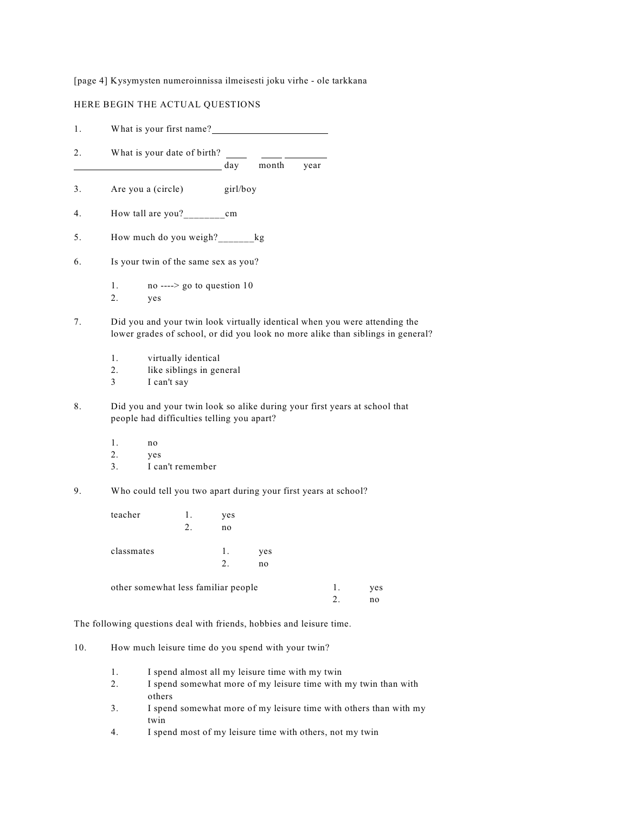### [page 4] Kysymysten numeroinnissa ilmeisesti joku virhe - ole tarkkana

## HERE BEGIN THE ACTUAL QUESTIONS

| 1. |                | What is your first name?                                       |          |           |                                                                 |      |          |                                                                                                                                                               |  |
|----|----------------|----------------------------------------------------------------|----------|-----------|-----------------------------------------------------------------|------|----------|---------------------------------------------------------------------------------------------------------------------------------------------------------------|--|
| 2. |                | What is your date of birth?                                    |          | day       | month                                                           | year |          |                                                                                                                                                               |  |
| 3. |                | Are you a (circle)                                             |          | girl/boy  |                                                                 |      |          |                                                                                                                                                               |  |
| 4. |                |                                                                |          |           |                                                                 |      |          |                                                                                                                                                               |  |
| 5. |                | How much do you weigh?________kg                               |          |           |                                                                 |      |          |                                                                                                                                                               |  |
| 6. |                | Is your twin of the same sex as you?                           |          |           |                                                                 |      |          |                                                                                                                                                               |  |
|    | 1.<br>2.       | no ----> go to question 10<br>yes                              |          |           |                                                                 |      |          |                                                                                                                                                               |  |
| 7. |                |                                                                |          |           |                                                                 |      |          | Did you and your twin look virtually identical when you were attending the<br>lower grades of school, or did you look no more alike than siblings in general? |  |
|    | 1.<br>2.<br>3  | virtually identical<br>like siblings in general<br>I can't say |          |           |                                                                 |      |          |                                                                                                                                                               |  |
| 8. |                | people had difficulties telling you apart?                     |          |           |                                                                 |      |          | Did you and your twin look so alike during your first years at school that                                                                                    |  |
|    | 1.<br>2.<br>3. | no<br>yes<br>I can't remember                                  |          |           |                                                                 |      |          |                                                                                                                                                               |  |
| 9. |                |                                                                |          |           | Who could tell you two apart during your first years at school? |      |          |                                                                                                                                                               |  |
|    | teacher        |                                                                | 1.<br>2. | yes<br>no |                                                                 |      |          |                                                                                                                                                               |  |
|    | classmates     |                                                                |          | 1.<br>2.  | yes<br>no                                                       |      |          |                                                                                                                                                               |  |
|    |                | other somewhat less familiar people                            |          |           |                                                                 |      | 1.<br>2. | yes<br>no                                                                                                                                                     |  |

The following questions deal with friends, hobbies and leisure time.

- 10. How much leisure time do you spend with your twin?
	- 1. I spend almost all my leisure time with my twin
	- 2. I spend somewhat more of my leisure time with my twin than with others
	- 3. I spend somewhat more of my leisure time with others than with my twin
	- 4. I spend most of my leisure time with others, not my twin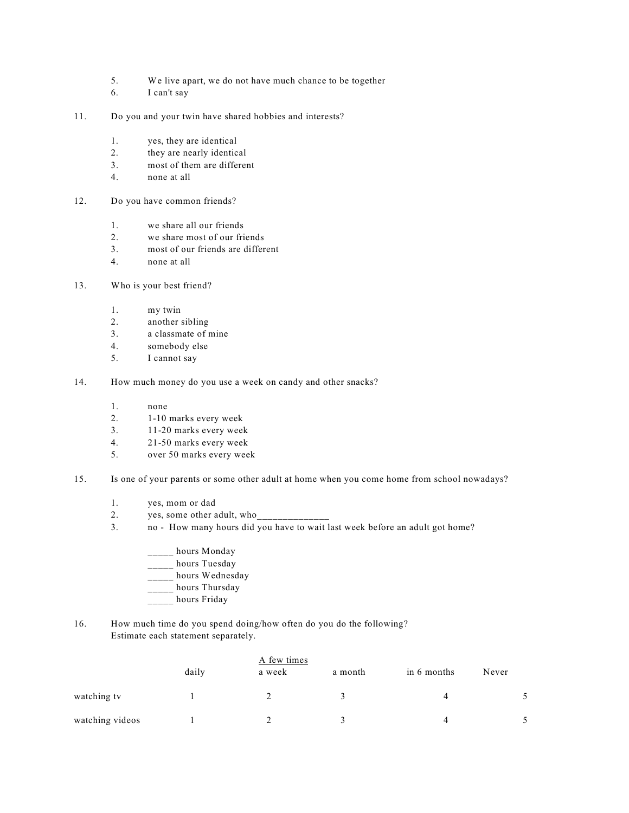- 5. We live apart, we do not have much chance to be together
- 6. I can't say
- 11. Do you and your twin have shared hobbies and interests?
	- 1. yes, they are identical
	- 2. they are nearly identical
	- 3. most of them are different
	- 4. none at all
- 12. Do you have common friends?
	- 1. we share all our friends
	- 2. we share most of our friends
	- 3. most of our friends are different
	- 4. none at all
- 13. Who is your best friend?
	- 1. my twin
	- 2. another sibling
	- 3. a classmate of mine
	- 4. somebody else
	- 5. I cannot say
- 14. How much money do you use a week on candy and other snacks?
	- 1. none
	- 2. 1-10 marks every week
	- 3. 11-20 marks every week
	- 4. 21-50 marks every week
	- 5. over 50 marks every week
- 15. Is one of your parents or some other adult at home when you come home from school nowadays?
	- 1. yes, mom or dad
	- 2. yes, some other adult, who
	- 3. no How many hours did you have to wait last week before an adult got home?
		- hours Monday
		- \_\_\_\_\_ hours Tuesday
		- \_\_\_\_\_ hours Wednesday
		- \_\_\_\_\_ hours Thursday
		- \_\_\_\_\_ hours Friday
- 16. How much time do you spend doing/how often do you do the following? Estimate each statement separately.

|                 |       | A few times |         |             |       |  |  |
|-----------------|-------|-------------|---------|-------------|-------|--|--|
|                 | daily | a week      | a month | in 6 months | Never |  |  |
| watching tv     |       |             |         |             |       |  |  |
| watching videos |       |             |         |             |       |  |  |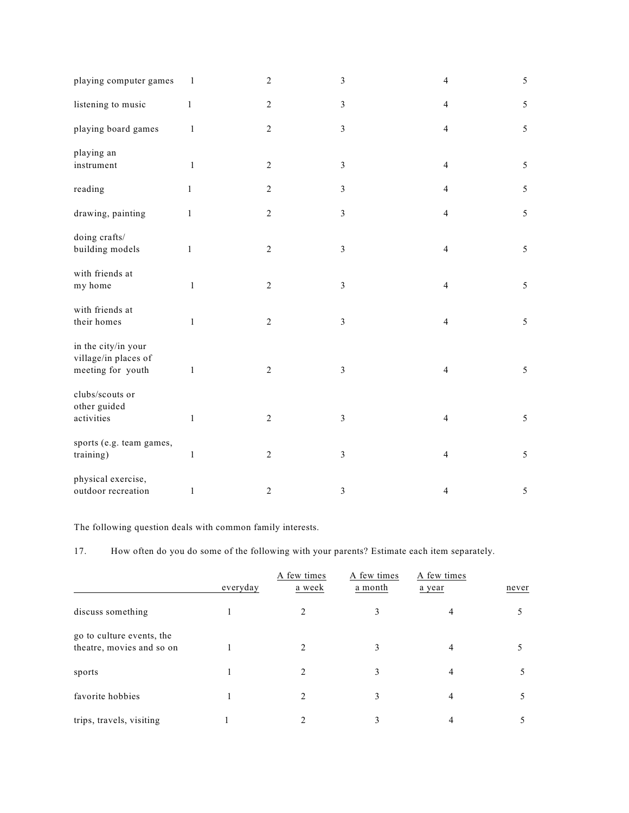| playing computer games                                           | $\mathbf{1}$ | $\sqrt{2}$       | $\mathfrak z$  | $\overline{4}$ | 5              |
|------------------------------------------------------------------|--------------|------------------|----------------|----------------|----------------|
| listening to music                                               | $\mathbf{1}$ | $\overline{c}$   | $\mathfrak{Z}$ | $\overline{4}$ | 5              |
| playing board games                                              | $\mathbf{1}$ | $\overline{c}$   | $\mathfrak{Z}$ | $\overline{4}$ | 5              |
| playing an<br>instrument                                         | $\mathbf{1}$ | $\sqrt{2}$       | $\mathfrak z$  | $\overline{4}$ | 5              |
| reading                                                          | $\mathbf{1}$ | $\sqrt{2}$       | 3              | $\overline{4}$ | $\mathfrak{S}$ |
| drawing, painting                                                | $\mathbf{1}$ | $\sqrt{2}$       | $\mathfrak{Z}$ | $\overline{4}$ | 5              |
| doing crafts/<br>building models                                 | 1            | $\sqrt{2}$       | $\mathfrak z$  | $\overline{4}$ | 5              |
| with friends at<br>my home                                       | $\mathbf{1}$ | $\boldsymbol{2}$ | 3              | $\overline{4}$ | 5              |
| with friends at<br>their homes                                   | $\,1\,$      | $\overline{c}$   | $\mathfrak z$  | $\overline{4}$ | 5              |
| in the city/in your<br>village/in places of<br>meeting for youth | $\,1$        | $\sqrt{2}$       | 3              | $\overline{4}$ | 5              |
| clubs/scouts or<br>other guided<br>activities                    | $\,1\,$      | $\overline{c}$   | 3              | $\overline{4}$ | 5              |
| sports (e.g. team games,<br>training)                            | $\mathbf{1}$ | $\sqrt{2}$       | 3              | $\overline{4}$ | 5              |
| physical exercise,<br>outdoor recreation                         | $\mathbf{1}$ | $\overline{2}$   | 3              | $\overline{4}$ | 5              |

The following question deals with common family interests.

17. How often do you do some of the following with your parents? Estimate each item separately.

|                                                        | everyday | A few times<br>a week | A few times<br>a month | A few times<br>a year | never |
|--------------------------------------------------------|----------|-----------------------|------------------------|-----------------------|-------|
| discuss something                                      |          |                       |                        |                       |       |
| go to culture events, the<br>theatre, movies and so on |          |                       | 3                      |                       |       |
| sports                                                 |          |                       | 3                      | 4                     |       |
| favorite hobbies                                       |          |                       | 3                      | 4                     |       |
| trips, travels, visiting                               |          |                       | 3                      |                       |       |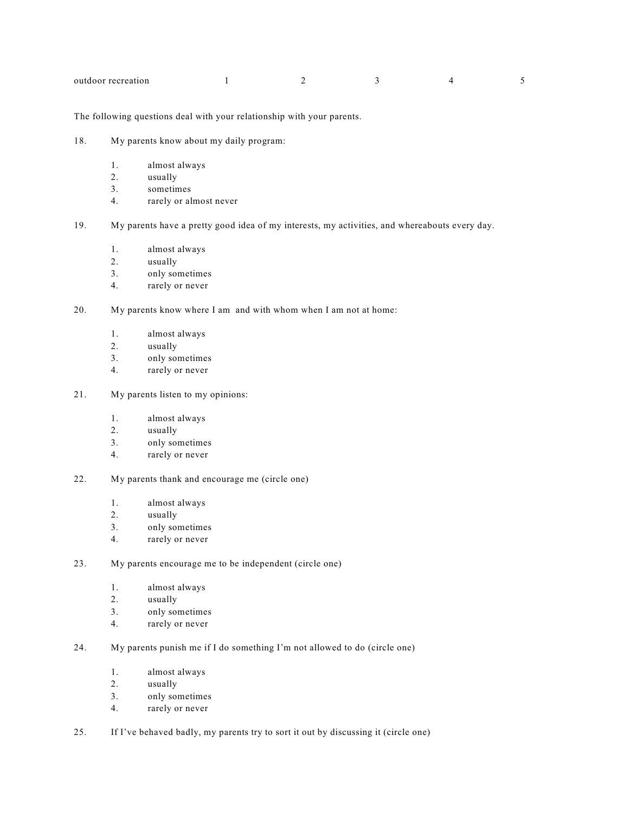| outdoor recreation |  |  |
|--------------------|--|--|
|                    |  |  |

The following questions deal with your relationship with your parents.

- 18. My parents know about my daily program:
	- 1. almost always
	- 2. usually
	- 3. sometimes
	- 4. rarely or almost never

19. My parents have a pretty good idea of my interests, my activities, and whereabouts every day.

- 1. almost always
- 2. usually
- 3. only sometimes
- 4. rarely or never
- 20. My parents know where I am and with whom when I am not at home:
	- 1. almost always
	- 2. usually
	- 3. only sometimes
	- 4. rarely or never
- 21. My parents listen to my opinions:
	- 1. almost always
	- 2. usually
	- 3. only sometimes
	- 4. rarely or never
- 22. My parents thank and encourage me (circle one)
	- 1. almost always
	- 2. usually
	- 3. only sometimes
	- 4. rarely or never
- 23. My parents encourage me to be independent (circle one)
	- 1. almost always
	- 2. usually
	- 3. only sometimes
	- 4. rarely or never
- 24. My parents punish me if I do something I'm not allowed to do (circle one)
	- 1. almost always
	- 2. usually
	- 3. only sometimes
	- 4. rarely or never
- 25. If I've behaved badly, my parents try to sort it out by discussing it (circle one)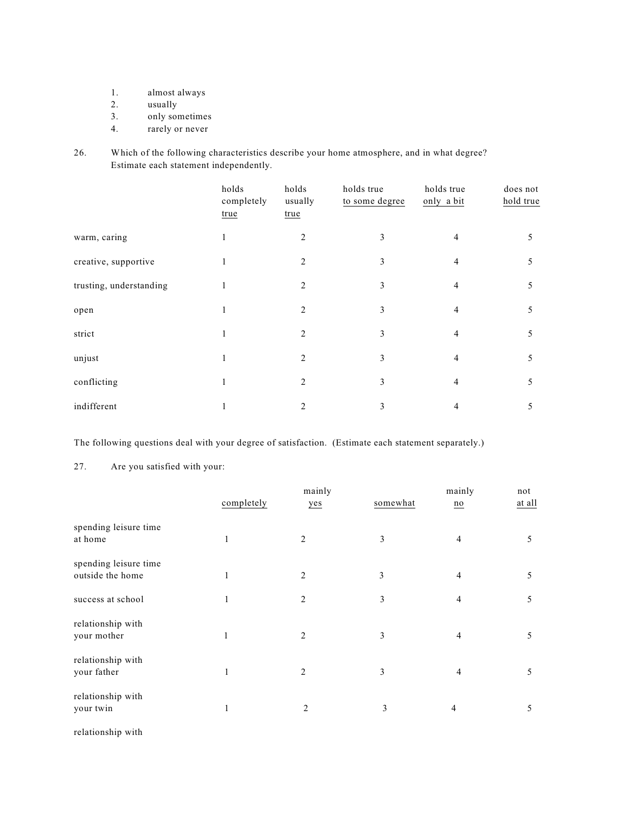- 1. almost always<br>2. usually
- usually
- 3. only sometimes
- 4. rarely or never
- 26. Which of the following characteristics describe your home atmosphere, and in what degree? Estimate each statement independently.

|                         | holds<br>completely<br>true | holds<br>usually<br>true | holds true<br>to some degree | holds true<br>only a bit | does not<br>hold true |
|-------------------------|-----------------------------|--------------------------|------------------------------|--------------------------|-----------------------|
| warm, caring            | 1                           | 2                        | 3                            | $\overline{4}$           | 5                     |
| creative, supportive    |                             | 2                        | 3                            | 4                        | 5                     |
| trusting, understanding |                             | 2                        | 3                            | 4                        | 5                     |
| open                    |                             | $\overline{2}$           | 3                            | 4                        | 5                     |
| strict                  |                             | $\overline{c}$           | 3                            | 4                        | 5                     |
| unjust                  |                             | 2                        | 3                            | 4                        | 5                     |
| conflicting             |                             | $\overline{c}$           | 3                            | 4                        | 5                     |
| indifferent             |                             | 2                        | 3                            | 4                        | 5                     |

The following questions deal with your degree of satisfaction. (Estimate each statement separately.)

### 27. Are you satisfied with your:

|                                           |              | mainly         |          | mainly           | not    |
|-------------------------------------------|--------------|----------------|----------|------------------|--------|
|                                           | completely   | yes            | somewhat | $\underline{no}$ | at all |
| spending leisure time<br>at home          | 1            | $\overline{c}$ | 3        | 4                | 5      |
| spending leisure time<br>outside the home | $\mathbf{1}$ | $\overline{c}$ | 3        | 4                | 5      |
| success at school                         | $\mathbf{1}$ | 2              | 3        | 4                | 5      |
| relationship with<br>your mother          | 1            | 2              | 3        | 4                | 5      |
| relationship with<br>your father          |              | 2              | 3        | 4                | 5      |
| relationship with<br>your twin            | 1            | $\overline{c}$ | 3        | 4                | 5      |

relationship with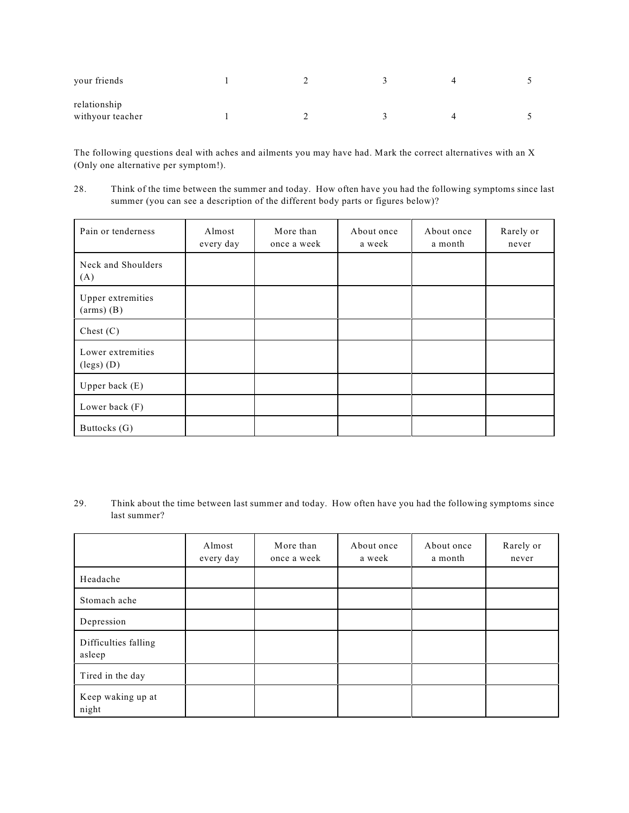| your friends                     |  |  |  |
|----------------------------------|--|--|--|
| relationship<br>withyour teacher |  |  |  |

The following questions deal with aches and ailments you may have had. Mark the correct alternatives with an X (Only one alternative per symptom!).

28. Think of the time between the summer and today. How often have you had the following symptoms since last summer (you can see a description of the different body parts or figures below)?

| Pain or tenderness                         | Almost<br>every day | More than<br>once a week | About once<br>a week | About once<br>a month | Rarely or<br>never |
|--------------------------------------------|---------------------|--------------------------|----------------------|-----------------------|--------------------|
| Neck and Shoulders<br>(A)                  |                     |                          |                      |                       |                    |
| Upper extremities<br>$(arms)$ $(B)$        |                     |                          |                      |                       |                    |
| Chest $(C)$                                |                     |                          |                      |                       |                    |
| Lower extremities<br>$(\text{legs})$ $(D)$ |                     |                          |                      |                       |                    |
| Upper back $(E)$                           |                     |                          |                      |                       |                    |
| Lower back (F)                             |                     |                          |                      |                       |                    |
| Buttocks (G)                               |                     |                          |                      |                       |                    |

29. Think about the time between last summer and today. How often have you had the following symptoms since last summer?

|                                | Almost<br>every day | More than<br>once a week | About once<br>a week | About once<br>a month | Rarely or<br>never |
|--------------------------------|---------------------|--------------------------|----------------------|-----------------------|--------------------|
| Headache                       |                     |                          |                      |                       |                    |
| Stomach ache                   |                     |                          |                      |                       |                    |
| Depression                     |                     |                          |                      |                       |                    |
| Difficulties falling<br>asleep |                     |                          |                      |                       |                    |
| Tired in the day               |                     |                          |                      |                       |                    |
| Keep waking up at<br>night     |                     |                          |                      |                       |                    |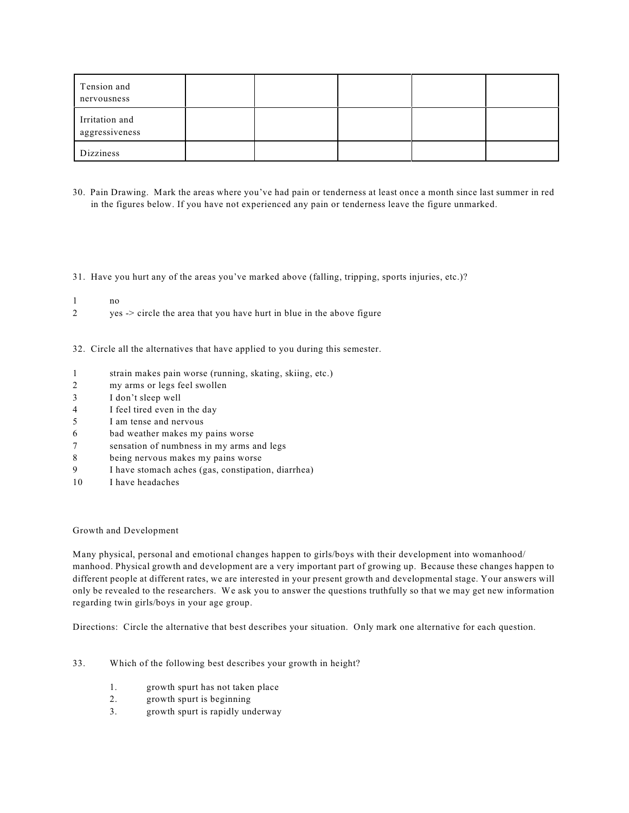| Tension and<br>nervousness       |  |  |  |
|----------------------------------|--|--|--|
| Irritation and<br>aggressiveness |  |  |  |
| Dizziness                        |  |  |  |

30. Pain Drawing. Mark the areas where you've had pain or tenderness at least once a month since last summer in red in the figures below. If you have not experienced any pain or tenderness leave the figure unmarked.

31. Have you hurt any of the areas you've marked above (falling, tripping, sports injuries, etc.)?

- 1 no
- 2 yes -> circle the area that you have hurt in blue in the above figure
- 32. Circle all the alternatives that have applied to you during this semester.
- 1 strain makes pain worse (running, skating, skiing, etc.)
- 2 my arms or legs feel swollen
- 3 I don't sleep well
- 4 I feel tired even in the day
- 5 I am tense and nervous
- 6 bad weather makes my pains worse
- 7 sensation of numbness in my arms and legs
- 8 being nervous makes my pains worse
- 9 I have stomach aches (gas, constipation, diarrhea)
- 10 I have headaches

#### Growth and Development

Many physical, personal and emotional changes happen to girls/boys with their development into womanhood/ manhood. Physical growth and development are a very important part of growing up. Because these changes happen to different people at different rates, we are interested in your present growth and developmental stage. Your answers will only be revealed to the researchers. We ask you to answer the questions truthfully so that we may get new information regarding twin girls/boys in your age group.

Directions: Circle the alternative that best describes your situation. Only mark one alternative for each question.

- 33. Which of the following best describes your growth in height?
	- 1. growth spurt has not taken place
	- 2. growth spurt is beginning
	- 3. growth spurt is rapidly underway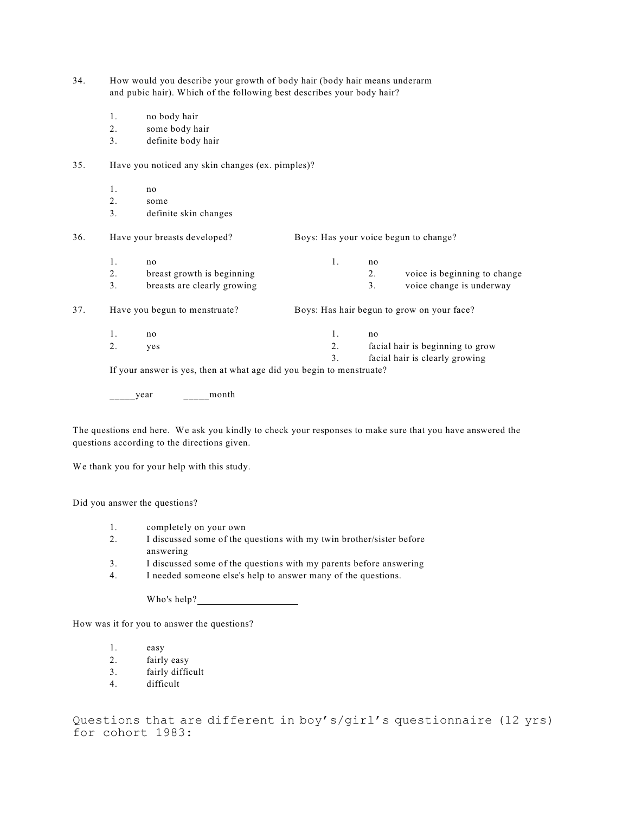| 34. | How would you describe your growth of body hair (body hair means underarm |
|-----|---------------------------------------------------------------------------|
|     | and pubic hair). Which of the following best describes your body hair?    |

- 1. no body hair
- 2. some body hair
- 3. definite body hair

#### 35. Have you noticed any skin changes (ex. pimples)?

- 1. no
- 2. some
- 3. definite skin changes

36. Have your breasts developed? Boys: Has your voice begun to change? 1. no 1. no

2. breast growth is beginning the contract to the 2. voice is beginning to change 3. breasts are clearly growing 3. voice change is underway

37. Have you begun to menstruate? Boys: Has hair begun to grow on your face?

1. no 1. no 2. yes 2. facial hair is beginning to grow 3. facial hair is clearly growing

If your answer is yes, then at what age did you begin to menstruate?

 $\frac{1}{2}$  year  $\frac{1}{2}$  month

The questions end here. We ask you kindly to check your responses to make sure that you have answered the questions according to the directions given.

We thank you for your help with this study.

Did you answer the questions?

- 1. completely on your own
- 2. I discussed some of the questions with my twin brother/sister before answering
- 3. I discussed some of the questions with my parents before answering
- 4. I needed someone else's help to answer many of the questions.

Who's help?

How was it for you to answer the questions?

- 1. easy
- 2. fairly easy
- 3. fairly difficult
- 4. difficult

Questions that are different in boy's/girl's questionnaire (12 yrs) for cohort 1983: